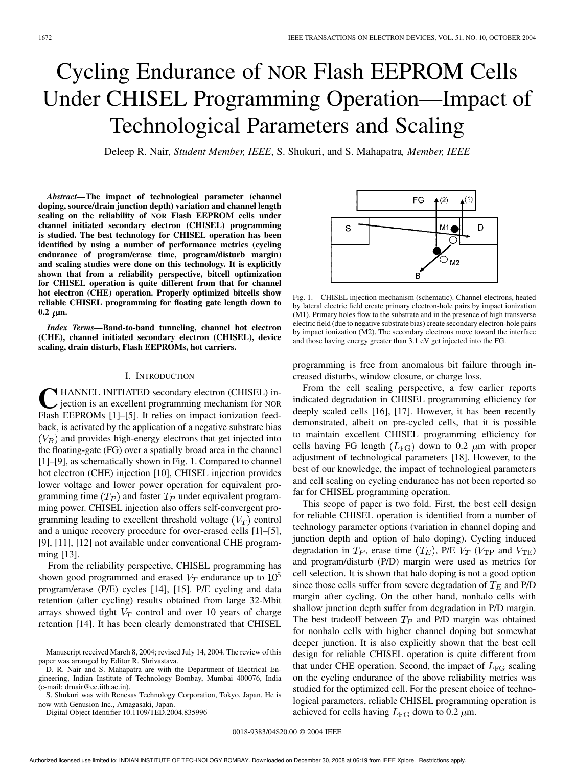# Cycling Endurance of NOR Flash EEPROM Cells Under CHISEL Programming Operation—Impact of Technological Parameters and Scaling

Deleep R. Nair*, Student Member, IEEE*, S. Shukuri, and S. Mahapatra*, Member, IEEE*

*Abstract—***The impact of technological parameter (channel doping, source/drain junction depth) variation and channel length scaling on the reliability of NOR Flash EEPROM cells under channel initiated secondary electron (CHISEL) programming is studied. The best technology for CHISEL operation has been identified by using a number of performance metrics (cycling endurance of program/erase time, program/disturb margin) and scaling studies were done on this technology. It is explicitly shown that from a reliability perspective, bitcell optimization for CHISEL operation is quite different from that for channel hot electron (CHE) operation. Properly optimized bitcells show reliable CHISEL programming for floating gate length down to**  $0.2 \mu m$ .

*Index Terms—***Band-to-band tunneling, channel hot electron (CHE), channel initiated secondary electron (CHISEL), device scaling, drain disturb, Flash EEPROMs, hot carriers.**

#### I. INTRODUCTION

**C** HANNEL INITIATED secondary electron (CHISEL) injection is an excellent programming mechanism for NOR Flash EEPROMs [1]–[5]. It relies on impact ionization feed-HANNEL INITIATED secondary electron (CHISEL) injection is an excellent programming mechanism for NOR back, is activated by the application of a negative substrate bias  $(V_B)$  and provides high-energy electrons that get injected into the floating-gate (FG) over a spatially broad area in the channel [1]–[9], as schematically shown in Fig. 1. Compared to channel hot electron (CHE) injection [10], CHISEL injection provides lower voltage and lower power operation for equivalent programming time  $(T_P)$  and faster  $T_P$  under equivalent programming power. CHISEL injection also offers self-convergent programming leading to excellent threshold voltage  $(V_T)$  control and a unique recovery procedure for over-erased cells [1]–[5], [9], [11], [12] not available under conventional CHE programming [13].

From the reliability perspective, CHISEL programming has shown good programmed and erased  $V_T$  endurance up to  $10<sup>5</sup>$ program/erase (P/E) cycles [14], [15]. P/E cycling and data retention (after cycling) results obtained from large 32-Mbit arrays showed tight  $V_T$  control and over 10 years of charge retention [14]. It has been clearly demonstrated that CHISEL

D. R. Nair and S. Mahapatra are with the Department of Electrical Engineering, Indian Institute of Technology Bombay, Mumbai 400076, India (e-mail: drnair@ee.iitb.ac.in).

S. Shukuri was with Renesas Technology Corporation, Tokyo, Japan. He is now with Genusion Inc., Amagasaki, Japan.

Digital Object Identifier 10.1109/TED.2004.835996



Fig. 1. CHISEL injection mechanism (schematic). Channel electrons, heated by lateral electric field create primary electron-hole pairs by impact ionization (M1). Primary holes flow to the substrate and in the presence of high transverse electric field (due to negative substrate bias) create secondary electron-hole pairs by impact ionization (M2). The secondary electrons move toward the interface and those having energy greater than 3.1 eV get injected into the FG.

programming is free from anomalous bit failure through increased disturbs, window closure, or charge loss.

From the cell scaling perspective, a few earlier reports indicated degradation in CHISEL programming efficiency for deeply scaled cells [16], [17]. However, it has been recently demonstrated, albeit on pre-cycled cells, that it is possible to maintain excellent CHISEL programming efficiency for cells having FG length  $(L_{\text{FG}})$  down to 0.2  $\mu$ m with proper adjustment of technological parameters [18]. However, to the best of our knowledge, the impact of technological parameters and cell scaling on cycling endurance has not been reported so far for CHISEL programming operation.

This scope of paper is two fold. First, the best cell design for reliable CHISEL operation is identified from a number of technology parameter options (variation in channel doping and junction depth and option of halo doping). Cycling induced degradation in  $T_P$ , erase time  $(T_E)$ , P/E  $V_T$  ( $V_{TP}$  and  $V_{TE}$ ) and program/disturb (P/D) margin were used as metrics for cell selection. It is shown that halo doping is not a good option since those cells suffer from severe degradation of  $T_E$  and P/D margin after cycling. On the other hand, nonhalo cells with shallow junction depth suffer from degradation in P/D margin. The best tradeoff between  $T_P$  and P/D margin was obtained for nonhalo cells with higher channel doping but somewhat deeper junction. It is also explicitly shown that the best cell design for reliable CHISEL operation is quite different from that under CHE operation. Second, the impact of  $L_{\text{FG}}$  scaling on the cycling endurance of the above reliability metrics was studied for the optimized cell. For the present choice of technological parameters, reliable CHISEL programming operation is achieved for cells having  $L_{\text{FG}}$  down to 0.2  $\mu$ m.

0018-9383/04\$20.00 © 2004 IEEE

Manuscript received March 8, 2004; revised July 14, 2004. The review of this paper was arranged by Editor R. Shrivastava.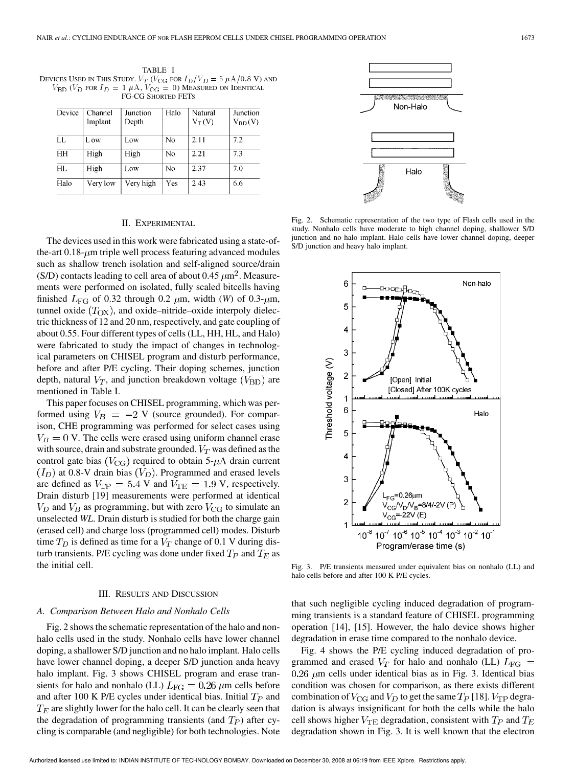TABLE I DEVICES USED IN THIS STUDY.  $V_T$  ( $V_{CG}$  for  $I_D/V_D = 5 \mu A/0.8$  V) and  $V_{\rm BD}$  ( $V_D$  for  $I_D = 1 \mu \text{A}$ ,  $V_{\rm CG} = 0$ ) Measured on Identical FG-CG SHORTED FETS

| Device | Channel<br>Implant | Junction<br>Depth | Halo           | Natural<br>$V_T(V)$ | Junction<br>$V_{BD}(V)$ |
|--------|--------------------|-------------------|----------------|---------------------|-------------------------|
| LL     | L ow               | Low               | N <sub>0</sub> | 2.11                | 7.2                     |
| HH     | High               | High              | No             | 2.21                | 7.3                     |
| HL.    | High               | Low               | No             | 2.37                | 7.0                     |
| Halo   | Very low           | Very high         | Yes            | 2.43                | 6.6                     |

## II. EXPERIMENTAL

The devices used in this work were fabricated using a state-ofthe-art  $0.18$ - $\mu$ m triple well process featuring advanced modules such as shallow trench isolation and self-aligned source/drain (S/D) contacts leading to cell area of about 0.45  $\mu$ m<sup>2</sup>. Measurements were performed on isolated, fully scaled bitcells having finished  $L_{\text{FG}}$  of 0.32 through 0.2  $\mu$ m, width (*W*) of 0.3- $\mu$ m, tunnel oxide  $(T_{OX})$ , and oxide–nitride–oxide interpoly dielectric thickness of 12 and 20 nm, respectively, and gate coupling of about 0.55. Four different types of cells (LL, HH, HL, and Halo) were fabricated to study the impact of changes in technological parameters on CHISEL program and disturb performance, before and after P/E cycling. Their doping schemes, junction depth, natural  $V_T$ , and junction breakdown voltage  $(V_{\rm BD})$  are mentioned in Table I.

This paper focuses on CHISEL programming, which was performed using  $V_B = -2$  V (source grounded). For comparison, CHE programming was performed for select cases using  $V_B = 0$  V. The cells were erased using uniform channel erase with source, drain and substrate grounded.  $V_T$  was defined as the control gate bias  $(V_{CG})$  required to obtain 5- $\mu$ A drain current  $(I_D)$  at 0.8-V drain bias  $(V_D)$ . Programmed and erased levels are defined as  $V_{\rm TP} = 5.4$  V and  $V_{\rm TE} = 1.9$  V, respectively. Drain disturb [19] measurements were performed at identical  $V_D$  and  $V_B$  as programming, but with zero  $V_{CG}$  to simulate an unselected *WL*. Drain disturb is studied for both the charge gain (erased cell) and charge loss (programmed cell) modes. Disturb time  $T_D$  is defined as time for a  $V_T$  change of 0.1 V during disturb transients. P/E cycling was done under fixed  $T_P$  and  $T_E$  as the initial cell.

#### III. RESULTS AND DISCUSSION

# *A. Comparison Between Halo and Nonhalo Cells*

Fig. 2 shows the schematic representation of the halo and nonhalo cells used in the study. Nonhalo cells have lower channel doping, a shallower S/D junction and no halo implant. Halo cells have lower channel doping, a deeper S/D junction anda heavy halo implant. Fig. 3 shows CHISEL program and erase transients for halo and nonhalo (LL)  $L_{\text{FG}} = 0.26 \ \mu \text{m}$  cells before and after 100 K P/E cycles under identical bias. Initial  $T_P$  and  $T_E$  are slightly lower for the halo cell. It can be clearly seen that the degradation of programming transients (and  $T_P$ ) after cycling is comparable (and negligible) for both technologies. Note



Fig. 2. Schematic representation of the two type of Flash cells used in the study. Nonhalo cells have moderate to high channel doping, shallower S/D junction and no halo implant. Halo cells have lower channel doping, deeper S/D junction and heavy halo implant.



Fig. 3. P/E transients measured under equivalent bias on nonhalo (LL) and halo cells before and after 100 K P/E cycles.

that such negligible cycling induced degradation of programming transients is a standard feature of CHISEL programming operation [14], [15]. However, the halo device shows higher degradation in erase time compared to the nonhalo device.

Fig. 4 shows the P/E cycling induced degradation of programmed and erased  $V_T$  for halo and nonhalo (LL)  $L_{\text{FG}}$  =  $0.26 \mu$ m cells under identical bias as in Fig. 3. Identical bias condition was chosen for comparison, as there exists different combination of  $V_{CG}$  and  $V_D$  to get the same  $T_P$  [18].  $V_{TP}$  degradation is always insignificant for both the cells while the halo cell shows higher  $V_{\text{TE}}$  degradation, consistent with  $T_P$  and  $T_E$ degradation shown in Fig. 3. It is well known that the electron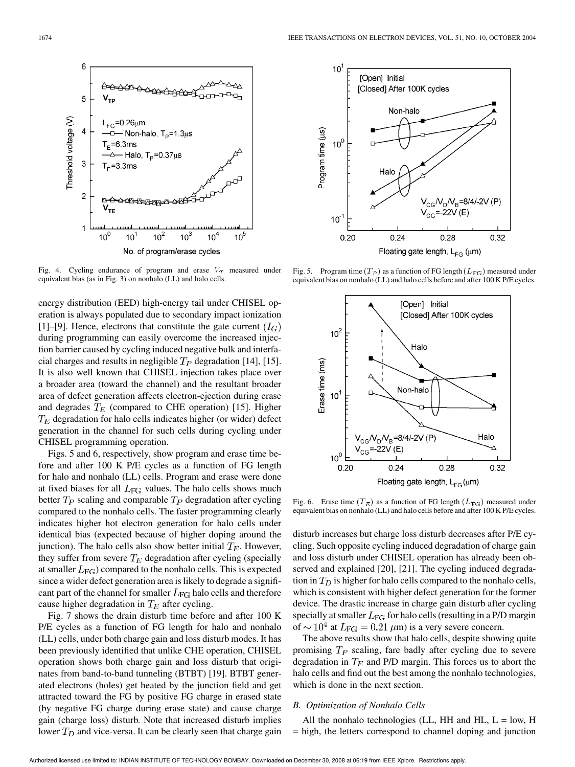

Fig. 4. Cycling endurance of program and erase  $V_T$  measured under equivalent bias (as in Fig. 3) on nonhalo (LL) and halo cells.

energy distribution (EED) high-energy tail under CHISEL operation is always populated due to secondary impact ionization [1]–[9]. Hence, electrons that constitute the gate current  $(I_G)$ during programming can easily overcome the increased injection barrier caused by cycling induced negative bulk and interfacial charges and results in negligible  $T_P$  degradation [14], [15]. It is also well known that CHISEL injection takes place over a broader area (toward the channel) and the resultant broader area of defect generation affects electron-ejection during erase and degrades  $T_E$  (compared to CHE operation) [15]. Higher  $T_E$  degradation for halo cells indicates higher (or wider) defect generation in the channel for such cells during cycling under CHISEL programming operation.

Figs. 5 and 6, respectively, show program and erase time before and after 100 K P/E cycles as a function of FG length for halo and nonhalo (LL) cells. Program and erase were done at fixed biases for all  $L_{\text{FG}}$  values. The halo cells shows much better  $T_P$  scaling and comparable  $T_P$  degradation after cycling compared to the nonhalo cells. The faster programming clearly indicates higher hot electron generation for halo cells under identical bias (expected because of higher doping around the junction). The halo cells also show better initial  $T_E$ . However, they suffer from severe  $T_E$  degradation after cycling (specially at smaller  $L_{\text{FG}}$ ) compared to the nonhalo cells. This is expected since a wider defect generation area is likely to degrade a significant part of the channel for smaller  $L_{\text{FG}}$  halo cells and therefore cause higher degradation in  $T_E$  after cycling.

Fig. 7 shows the drain disturb time before and after 100 K P/E cycles as a function of FG length for halo and nonhalo (LL) cells, under both charge gain and loss disturb modes. It has been previously identified that unlike CHE operation, CHISEL operation shows both charge gain and loss disturb that originates from band-to-band tunneling (BTBT) [19]. BTBT generated electrons (holes) get heated by the junction field and get attracted toward the FG by positive FG charge in erased state (by negative FG charge during erase state) and cause charge gain (charge loss) disturb. Note that increased disturb implies lower  $T_D$  and vice-versa. It can be clearly seen that charge gain



Fig. 5. Program time  $(T_P)$  as a function of FG length  $(L_{\text{FG}})$  measured under equivalent bias on nonhalo (LL) and halo cells before and after 100 K P/E cycles.



Fig. 6. Erase time  $(T_E)$  as a function of FG length  $(L_{FG})$  measured under equivalent bias on nonhalo (LL) and halo cells before and after 100 K P/E cycles.

disturb increases but charge loss disturb decreases after P/E cycling. Such opposite cycling induced degradation of charge gain and loss disturb under CHISEL operation has already been observed and explained [20], [21]. The cycling induced degradation in  $T_D$  is higher for halo cells compared to the nonhalo cells, which is consistent with higher defect generation for the former device. The drastic increase in charge gain disturb after cycling specially at smaller  $L_{\text{FG}}$  for halo cells (resulting in a P/D margin of  $\sim 10^4$  at  $L_{\text{FG}} = 0.21 \ \mu \text{m}$ ) is a very severe concern.

The above results show that halo cells, despite showing quite promising  $T_P$  scaling, fare badly after cycling due to severe degradation in  $T_E$  and P/D margin. This forces us to abort the halo cells and find out the best among the nonhalo technologies, which is done in the next section.

## *B. Optimization of Nonhalo Cells*

All the nonhalo technologies (LL, HH and HL,  $L = low$ , H = high, the letters correspond to channel doping and junction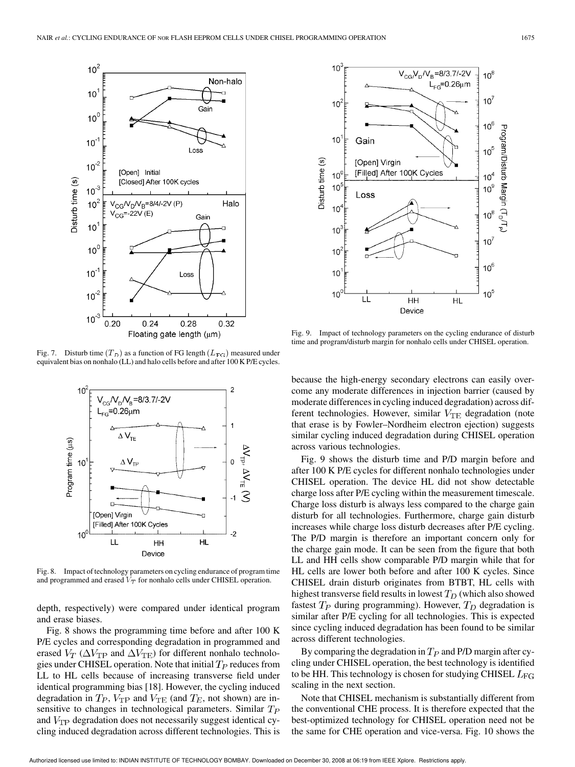

Fig. 7. Disturb time  $(T_D)$  as a function of FG length  $(L_{\text{FG}})$  measured under equivalent bias on nonhalo (LL) and halo cells before and after 100 K P/E cycles.



Fig. 8. Impact of technology parameters on cycling endurance of program time and programmed and erased  $V_T$  for nonhalo cells under CHISEL operation.

depth, respectively) were compared under identical program and erase biases.

Fig. 8 shows the programming time before and after 100 K P/E cycles and corresponding degradation in programmed and erased  $V_T$  ( $\Delta V_{\rm TP}$  and  $\Delta V_{\rm TE}$ ) for different nonhalo technologies under CHISEL operation. Note that initial  $T_P$  reduces from LL to HL cells because of increasing transverse field under identical programming bias [18]. However, the cycling induced degradation in  $T_P$ ,  $V_{\text{TP}}$  and  $V_{\text{TE}}$  (and  $T_E$ , not shown) are insensitive to changes in technological parameters. Similar  $T_P$ and  $V_{\text{TP}}$  degradation does not necessarily suggest identical cycling induced degradation across different technologies. This is



Fig. 9. Impact of technology parameters on the cycling endurance of disturb time and program/disturb margin for nonhalo cells under CHISEL operation.

because the high-energy secondary electrons can easily overcome any moderate differences in injection barrier (caused by moderate differences in cycling induced degradation) across different technologies. However, similar  $V_{\text{TE}}$  degradation (note that erase is by Fowler–Nordheim electron ejection) suggests similar cycling induced degradation during CHISEL operation across various technologies.

Fig. 9 shows the disturb time and P/D margin before and after 100 K P/E cycles for different nonhalo technologies under CHISEL operation. The device HL did not show detectable charge loss after P/E cycling within the measurement timescale. Charge loss disturb is always less compared to the charge gain disturb for all technologies. Furthermore, charge gain disturb increases while charge loss disturb decreases after P/E cycling. The P/D margin is therefore an important concern only for the charge gain mode. It can be seen from the figure that both LL and HH cells show comparable P/D margin while that for HL cells are lower both before and after 100 K cycles. Since CHISEL drain disturb originates from BTBT, HL cells with highest transverse field results in lowest  $T_D$  (which also showed fastest  $T_P$  during programming). However,  $T_D$  degradation is similar after P/E cycling for all technologies. This is expected since cycling induced degradation has been found to be similar across different technologies.

By comparing the degradation in  $T_p$  and P/D margin after cycling under CHISEL operation, the best technology is identified to be HH. This technology is chosen for studying CHISEL  $L_{\text{FG}}$ scaling in the next section.

Note that CHISEL mechanism is substantially different from the conventional CHE process. It is therefore expected that the best-optimized technology for CHISEL operation need not be the same for CHE operation and vice-versa. Fig. 10 shows the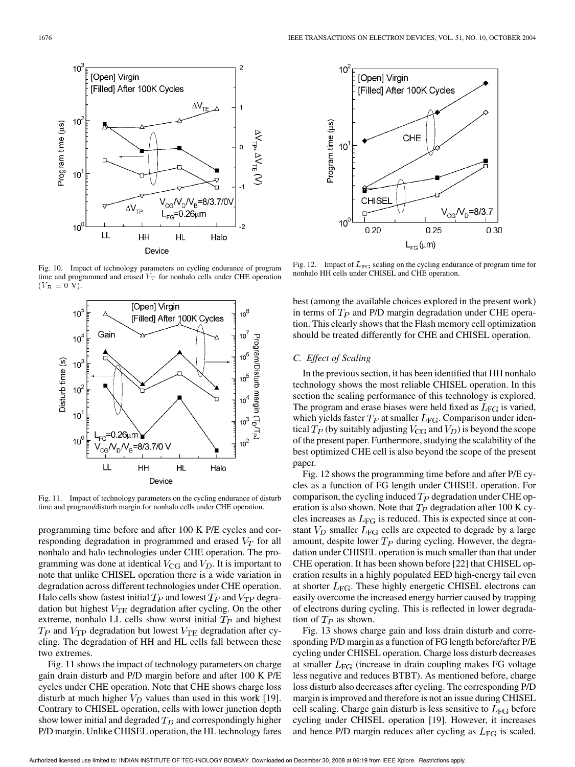

Fig. 10. Impact of technology parameters on cycling endurance of program time and programmed and erased  $V_T$  for nonhalo cells under CHE operation  $(V_B = 0 V).$ 



Fig. 11. Impact of technology parameters on the cycling endurance of disturb time and program/disturb margin for nonhalo cells under CHE operation.

programming time before and after 100 K P/E cycles and corresponding degradation in programmed and erased  $V_T$  for all nonhalo and halo technologies under CHE operation. The programming was done at identical  $V_{CG}$  and  $V_D$ . It is important to note that unlike CHISEL operation there is a wide variation in degradation across different technologies under CHE operation. Halo cells show fastest initial  $T_P$  and lowest  $T_P$  and  $V_{\text{TP}}$  degradation but highest  $V_{\text{TE}}$  degradation after cycling. On the other extreme, nonhalo LL cells show worst initial  $T_P$  and highest  $T_P$  and  $V_{TP}$  degradation but lowest  $V_{TE}$  degradation after cycling. The degradation of HH and HL cells fall between these two extremes.

Fig. 11 shows the impact of technology parameters on charge gain drain disturb and P/D margin before and after 100 K P/E cycles under CHE operation. Note that CHE shows charge loss disturb at much higher  $V_D$  values than used in this work [19]. Contrary to CHISEL operation, cells with lower junction depth show lower initial and degraded  $T_D$  and correspondingly higher P/D margin. Unlike CHISEL operation, the HL technology fares



Fig. 12. Impact of  $L_{\text{FG}}$  scaling on the cycling endurance of program time for nonhalo HH cells under CHISEL and CHE operation.

best (among the available choices explored in the present work) in terms of  $T_P$  and P/D margin degradation under CHE operation. This clearly shows that the Flash memory cell optimization should be treated differently for CHE and CHISEL operation.

# *C. Effect of Scaling*

In the previous section, it has been identified that HH nonhalo technology shows the most reliable CHISEL operation. In this section the scaling performance of this technology is explored. The program and erase biases were held fixed as  $L_{\text{FG}}$  is varied, which yields faster  $T_P$  at smaller  $L_{\text{FG}}$ . Comparison under identical  $T_P$  (by suitably adjusting  $V_{CG}$  and  $V_D$ ) is beyond the scope of the present paper. Furthermore, studying the scalability of the best optimized CHE cell is also beyond the scope of the present paper.

Fig. 12 shows the programming time before and after P/E cycles as a function of FG length under CHISEL operation. For comparison, the cycling induced  $T_P$  degradation under CHE operation is also shown. Note that  $T_P$  degradation after 100 K cycles increases as  $L_{\text{FG}}$  is reduced. This is expected since at constant  $V_D$  smaller  $L_{FG}$  cells are expected to degrade by a large amount, despite lower  $T_P$  during cycling. However, the degradation under CHISEL operation is much smaller than that under CHE operation. It has been shown before [22] that CHISEL operation results in a highly populated EED high-energy tail even at shorter  $L_{\text{FG}}$ . These highly energetic CHISEL electrons can easily overcome the increased energy barrier caused by trapping of electrons during cycling. This is reflected in lower degradation of  $T_P$  as shown.

Fig. 13 shows charge gain and loss drain disturb and corresponding P/D margin as a function of FG length before/after P/E cycling under CHISEL operation. Charge loss disturb decreases at smaller  $L_{\text{FG}}$  (increase in drain coupling makes FG voltage less negative and reduces BTBT). As mentioned before, charge loss disturb also decreases after cycling. The corresponding P/D margin is improved and therefore is not an issue during CHISEL cell scaling. Charge gain disturb is less sensitive to  $L_{\text{FG}}$  before cycling under CHISEL operation [19]. However, it increases and hence P/D margin reduces after cycling as  $L_{\text{FG}}$  is scaled.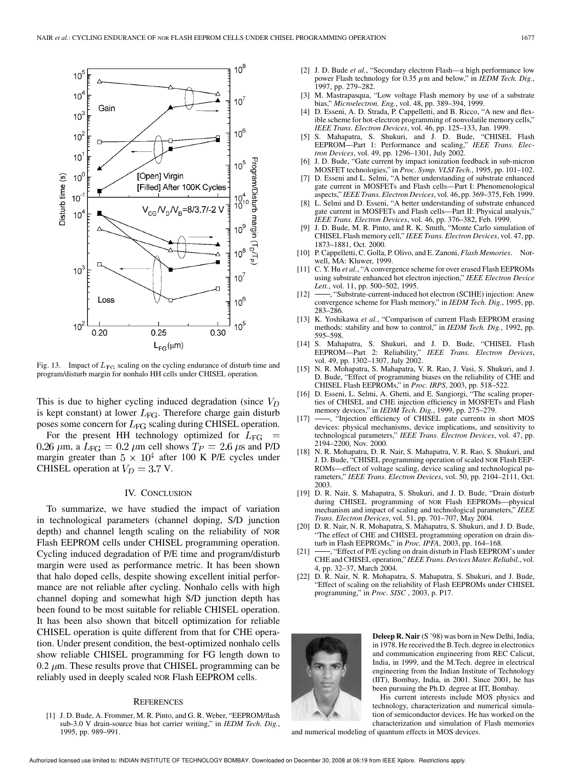

Fig. 13. Impact of  $L_{\text{FG}}$  scaling on the cycling endurance of disturb time and program/disturb margin for nonhalo HH cells under CHISEL operation.

This is due to higher cycling induced degradation (since  $V_D$ ) is kept constant) at lower  $L_{\text{FG}}$ . Therefore charge gain disturb poses some concern for  $L_{\text{FG}}$  scaling during CHISEL operation.

For the present HH technology optimized for  $L_{\text{FG}}$  = 0.26  $\mu$ m, a  $L_{\text{FG}} = 0.2 \mu$ m cell shows  $T_P = 2.6 \mu$ s and P/D margin greater than  $5 \times 10^4$  after 100 K P/E cycles under CHISEL operation at  $V_D = 3.7$  V.

### IV. CONCLUSION

To summarize, we have studied the impact of variation in technological parameters (channel doping, S/D junction depth) and channel length scaling on the reliability of NOR Flash EEPROM cells under CHISEL programming operation. Cycling induced degradation of P/E time and program/disturb margin were used as performance metric. It has been shown that halo doped cells, despite showing excellent initial performance are not reliable after cycling. Nonhalo cells with high channel doping and somewhat high S/D junction depth has been found to be most suitable for reliable CHISEL operation. It has been also shown that bitcell optimization for reliable CHISEL operation is quite different from that for CHE operation. Under present condition, the best-optimized nonhalo cells show reliable CHISEL programming for FG length down to 0.2  $\mu$ m. These results prove that CHISEL programming can be reliably used in deeply scaled NOR Flash EEPROM cells.

## **REFERENCES**

[1] J. D. Bude, A. Frommer, M. R. Pinto, and G. R. Weber, "EEPROM/flash sub-3.0 V drain-source bias hot carrier writing," in *IEDM Tech. Dig.*, 1995, pp. 989–991.

- [2] J. D. Bude *et al.*, "Secondary electron Flash—a high performance low power Flash technology for  $0.35 \mu$ m and below," in *IEDM Tech. Dig.*, 1997, pp. 279–282.
- [3] M. Mastrapasqua, "Low voltage Flash memory by use of a substrate bias," *Microelectron. Eng.*, vol. 48, pp. 389–394, 1999.
- D. Esseni, A. D. Strada, P. Cappelletti, and B. Ricco, "A new and flexible scheme for hot-electron programming of nonvolatile memory cells," *IEEE Trans. Electron Devices*, vol. 46, pp. 125–133, Jan. 1999.
- [5] S. Mahapatra, S. Shukuri, and J. D. Bude, "CHISEL Flash EEPROM-Part 1: Performance and scaling," *tron Devices*, vol. 49, pp. 1296–1301, July 2002.
- [6] J. D. Bude, "Gate current by impact ionization feedback in sub-micron MOSFET technologies," in *Proc. Symp. VLSI Tech.*, 1995, pp. 101–102.
- [7] D. Esseni and L. Selmi, "A better understanding of substrate enhanced gate current in MOSFETs and Flash cells—Part I: Phenomenological aspects," *IEEE Trans. Electron Devices*, vol. 46, pp. 369–375, Feb. 1999.
- [8] L. Selmi and D. Esseni, "A better understanding of substrate enhanced gate current in MOSFETs and Flash cells—Part II: Physical analysis," *IEEE Trans. Electron Devices*, vol. 46, pp. 376–382, Feb. 1999.
- [9] J. D. Bude, M. R. Pinto, and R. K. Smith, "Monte Carlo simulation of CHISEL Flash memory cell," *IEEE Trans. Electron Devices*, vol. 47, pp. 1873–1881, Oct. 2000.
- [10] P. Cappelletti, C. Golla, P. Olivo, and E. Zanoni, *Flash Memories*. Norwell, MA: Kluwer, 1999.
- [11] C. Y. Hu *et al.*, "A convergence scheme for over erased Flash EEPROMs using substrate enhanced hot electron injection," *IEEE Electron Device Lett.*, vol. 11, pp. 500–502, 1995.
- [12]  $\longrightarrow$ , "Substrate-current-induced hot electron (SCIHE) injection: Anew convergence scheme for Flash memory," in *IEDM Tech. Dig.*, 1995, pp. 283–286.
- [13] K. Yoshikawa et al., "Comparison of current Flash EEPROM erasing methods: stability and how to control," in *IEDM Tech. Dig.*, 1992, pp. 595–598.
- [14] S. Mahapatra, S. Shukuri, and J. D. Bude, "CHISEL Flash<br>EEPROM—Part 2: Reliability," IEEE Trans. Electron Devices, EEPROM—Part 2: Reliability," *IEEE Trans. Electron Devices*, vol. 49, pp. 1302–1307, July 2002.
- [15] N. R. Mohapatra, S. Mahapatra, V. R. Rao, J. Vasi, S. Shukuri, and J. D. Bude, "Effect of programming biases on the reliability of CHE and CHISEL Flash EEPROMs," in *Proc. IRPS*, 2003, pp. 518–522.
- [16] D. Esseni, L. Selmi, A. Ghetti, and E. Sangiorgi, "The scaling properties of CHISEL and CHE injection efficiency in MOSFETs and Flash memory devices," in *IEDM Tech. Dig.*, 1999, pp. 275–279.
- [17] -, "Injection efficiency of CHISEL gate currents in short MOS devices: physical mechanisms, device implications, and sensitivity to technological parameters," *IEEE Trans. Electron Devices*, vol. 47, pp. 2194–2200, Nov. 2000.
- [18] N. R. Mohapatra, D. R. Nair, S. Mahapatra, V. R. Rao, S. Shukuri, and J. D. Bude, "CHISEL programming operation of scaled NOR Flash EEP-ROMs—effect of voltage scaling, device scaling and technological parameters," *IEEE Trans. Electron Devices*, vol. 50, pp. 2104–2111, Oct. 2003.
- [19] D. R. Nair, S. Mahapatra, S. Shukuri, and J. D. Bude, "Drain disturb during CHISEL programming of NOR Flash EEPROMs—physical mechanism and impact of scaling and technological parameters," *IEEE Trans. Electron Devices*, vol. 51, pp. 701–707, May 2004.
- [20] D. R. Nair, N. R. Mohapatra, S. Mahapatra, S. Shukuri, and J. D. Bude, "The effect of CHE and CHISEL programming operation on drain disturb in Flash EEPROMs," in *Proc. IPFA*, 2003, pp. 164–168.
- [21] -, "Effect of P/E cycling on drain disturb in Flash EEPROM's under CHE and CHISEL operation," *IEEE Trans. Devices Mater. Reliabil.*, vol. 4, pp. 32–37, March 2004.
- [22] D. R. Nair, N. R. Mohapatra, S. Mahapatra, S. Shukuri, and J. Bude, "Effect of scaling on the reliability of Flash EEPROMs under CHISEL programming," in *Proc. SISC* , 2003, p. P17.



**Deleep R. Nair** (S '98) was born in New Delhi, India, in 1978. He received the B.Tech. degree in electronics and communication engineering from REC Calicut, India, in 1999, and the M.Tech. degree in electrical engineering from the Indian Institute of Technology (IIT), Bombay, India, in 2001. Since 2001, he has been pursuing the Ph.D. degree at IIT, Bombay.

His current interests include MOS physics and technology, characterization and numerical simulation of semiconductor devices. He has worked on the characterization and simulation of Flash memories

and numerical modeling of quantum effects in MOS devices.